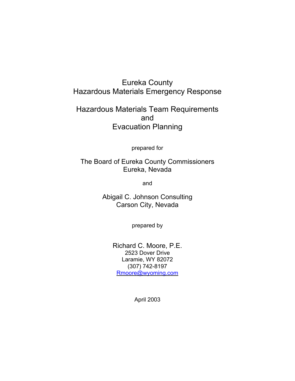## Eureka County Hazardous Materials Emergency Response

## Hazardous Materials Team Requirements and Evacuation Planning

prepared for

The Board of Eureka County Commissioners Eureka, Nevada

and

Abigail C. Johnson Consulting Carson City, Nevada

prepared by

Richard C. Moore, P.E. 2523 Dover Drive Laramie, WY 82072 (307) 742-8197 Rmoore@wyoming.com

April 2003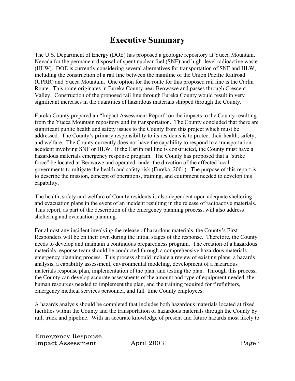# **Executive Summary**

The U.S. Department of Energy (DOE) has proposed a geologic repository at Yucca Mountain, Nevada for the permanent disposal of spent nuclear fuel (SNF) and high–level radioactive waste (HLW). DOE is currently considering several alternatives for transportation of SNF and HLW, including the construction of a rail line between the mainline of the Union Pacific Railroad (UPRR) and Yucca Mountain. One option for the route for this proposed rail line is the Carlin Route. This route originates in Eureka County near Beowawe and passes through Crescent Valley. Construction of the proposed rail line through Eureka County would result in very significant increases in the quantities of hazardous materials shipped through the County.

Eureka County prepared an "Impact Assessment Report" on the impacts to the County resulting from the Yucca Mountain repository and its transportation. The County concluded that there are significant public health and safety issues to the County from this project which must be addressed. The County's primary responsibility to its residents is to protect their health, safety, and welfare. The County currently does not have the capability to respond to a transportation accident involving SNF or HLW. If the Carlin rail line is constructed, the County must have a hazardous materials emergency response program. The County has proposed that a "strike force" be located at Beowawe and operated under the direction of the affected local governments to mitigate the health and safety risk (Eureka, 2001). The purpose of this report is to describe the mission, concept of operations, training, and equipment needed to develop this capability.

The health, safety and welfare of County residents is also dependent upon adequate sheltering and evacuation plans in the event of an incident resulting in the release of radioactive materials. This report, as part of the description of the emergency planning process, will also address sheltering and evacuation planning.

For almost any incident involving the release of hazardous materials, the County's First Responders will be on their own during the initial stages of the response. Therefore, the County needs to develop and maintain a continuous preparedness program. The creation of a hazardous materials response team should be conducted through a comprehensive hazardous materials emergency planning process. This process should include a review of existing plans, a hazards analysis, a capability assessment, environmental modeling, development of a hazardous materials response plan, implementation of the plan, and testing the plan. Through this process, the County can develop accurate assessments of the amount and type of equipment needed, the human resources needed to implement the plan, and the training required for firefighters, emergency medical services personnel, and full–time County employees.

A hazards analysis should be completed that includes both hazardous materials located at fixed facilities within the County and the transportation of hazardous materials through the County by rail, truck and pipeline. With an accurate knowledge of present and future hazards most likely to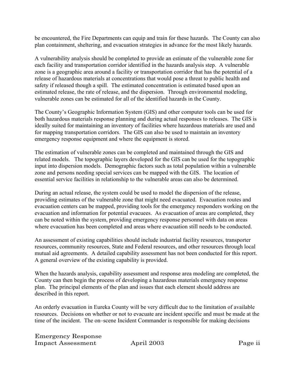be encountered, the Fire Departments can equip and train for these hazards. The County can also plan containment, sheltering, and evacuation strategies in advance for the most likely hazards.

A vulnerability analysis should be completed to provide an estimate of the vulnerable zone for each facility and transportation corridor identified in the hazards analysis step. A vulnerable zone is a geographic area around a facility or transportation corridor that has the potential of a release of hazardous materials at concentrations that would pose a threat to public health and safety if released though a spill. The estimated concentration is estimated based upon an estimated release, the rate of release, and the dispersion. Through environmental modeling, vulnerable zones can be estimated for all of the identified hazards in the County.

The County's Geographic Information System (GIS) and other computer tools can be used for both hazardous materials response planning and during actual responses to releases. The GIS is ideally suited for maintaining an inventory of facilities where hazardous materials are used and for mapping transportation corridors. The GIS can also be used to maintain an inventory emergency response equipment and where the equipment is stored.

The estimation of vulnerable zones can be completed and maintained through the GIS and related models. The topographic layers developed for the GIS can be used for the topographic input into dispersion models. Demographic factors such as total population within a vulnerable zone and persons needing special services can be mapped with the GIS. The location of essential service facilities in relationship to the vulnerable areas can also be determined.

During an actual release, the system could be used to model the dispersion of the release, providing estimates of the vulnerable zone that might need evacuated. Evacuation routes and evacuation centers can be mapped, providing tools for the emergency responders working on the evacuation and information for potential evacuees. As evacuation of areas are completed, they can be noted within the system, providing emergency response personnel with data on areas where evacuation has been completed and areas where evacuation still needs to be conducted.

An assessment of existing capabilities should include industrial facility resources, transporter resources, community resources, State and Federal resources, and other resources through local mutual aid agreements. A detailed capability assessment has not been conducted for this report. A general overview of the existing capability is provided.

When the hazards analysis, capability assessment and response area modeling are completed, the County can then begin the process of developing a hazardous materials emergency response plan. The principal elements of the plan and issues that each element should address are described in this report.

An orderly evacuation in Eureka County will be very difficult due to the limitation of available resources. Decisions on whether or not to evacuate are incident specific and must be made at the time of the incident. The on–scene Incident Commander is responsible for making decisions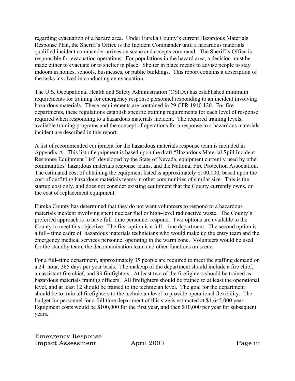regarding evacuation of a hazard area. Under Eureka County's current Hazardous Materials Response Plan, the Sheriff's Office is the Incident Commander until a hazardous materials qualified incident commander arrives on scene and accepts command. The Sheriff's Office is responsible for evacuation operations. For populations in the hazard area, a decision must be made either to evacuate or to shelter in place. Shelter in place means to advise people to stay indoors in homes, schools, businesses, or public buildings. This report contains a description of the tasks involved in conducting an evacuation.

The U.S. Occupational Health and Safety Administration (OSHA) has established minimum requirements for training for emergency response personnel responding to an incident involving hazardous materials. These requirements are contained in 29 CFR 1910.120. For fire departments, these regulations establish specific training requirements for each level of response required when responding to a hazardous materials incident. The required training levels, available training programs and the concept of operations for a response to a hazardous materials incident are described in this report.

A list of recommended equipment for the hazardous materials response team is included in Appendix A. This list of equipment is based upon the draft "Hazardous Material Spill Incident Response Equipment List" developed by the State of Nevada, equipment currently used by other communities' hazardous materials response teams, and the National Fire Protection Association. The estimated cost of obtaining the equipment listed is approximately \$100,000, based upon the cost of outfitting hazardous materials teams in other communities of similar size. This is the startup cost only, and does not consider existing equipment that the County currently owns, or the cost of replacement equipment.

Eureka County has determined that they do not want volunteers to respond to a hazardous materials incident involving spent nuclear fuel or high–level radioactive waste. The County's preferred approach is to have full–time personnel respond. Two options are available to the County to meet this objective. The first option is a full– time department. The second option is a full– time cadre of hazardous materials technicians who would make up the entry team and the emergency medical services personnel operating in the warm zone. Volunteers would be used for the standby team, the decontamination team and other functions on scene.

For a full–time department, approximately 35 people are required to meet the staffing demand on a 24–hour, 365 days per year basis. The makeup of the department should include a fire chief, an assistant fire chief, and 33 firefighters. At least two of the firefighters should be trained as hazardous materials training officers. All firefighters should be trained to at least the operational level, and at least 12 should be trained to the technician level. The goal for the department should be to train all firefighters to the technician level to provide operational flexibility. The budget for personnel for a full time department of this size is estimated at \$1,645,000 year. Equipment costs would be \$100,000 for the first year, and then \$10,000 per year for subsequent years.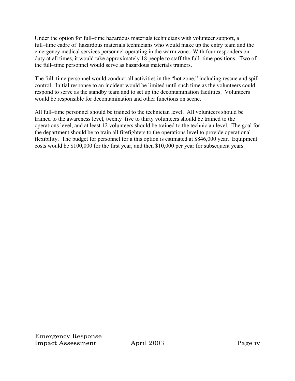Under the option for full–time hazardous materials technicians with volunteer support, a full–time cadre of hazardous materials technicians who would make up the entry team and the emergency medical services personnel operating in the warm zone. With four responders on duty at all times, it would take approximately 18 people to staff the full–time positions. Two of the full–time personnel would serve as hazardous materials trainers.

The full–time personnel would conduct all activities in the "hot zone," including rescue and spill control. Initial response to an incident would be limited until such time as the volunteers could respond to serve as the standby team and to set up the decontamination facilities. Volunteers would be responsible for decontamination and other functions on scene.

All full–time personnel should be trained to the technician level. All volunteers should be trained to the awareness level, twenty–five to thirty volunteers should be trained to the operations level, and at least 12 volunteers should be trained to the technician level. The goal for the department should be to train all firefighters to the operations level to provide operational flexibility. The budget for personnel for a this option is estimated at \$846,000 year. Equipment costs would be \$100,000 for the first year, and then \$10,000 per year for subsequent years.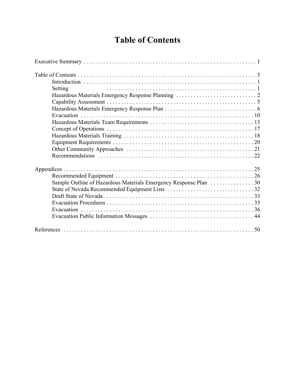# **Table of Contents**

| Setting |  |
|---------|--|
|         |  |
|         |  |
|         |  |
|         |  |
|         |  |
|         |  |
|         |  |
|         |  |
|         |  |
|         |  |
|         |  |
|         |  |
|         |  |
|         |  |
|         |  |
|         |  |
|         |  |
|         |  |
|         |  |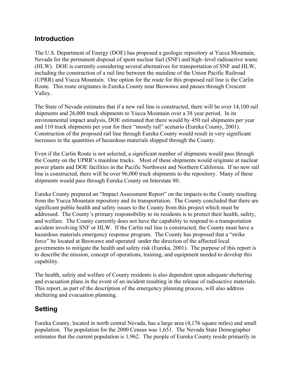## **Introduction**

The U.S. Department of Energy (DOE) has proposed a geologic repository at Yucca Mountain, Nevada for the permanent disposal of spent nuclear fuel (SNF) and high–level radioactive waste (HLW). DOE is currently considering several alternatives for transportation of SNF and HLW, including the construction of a rail line between the mainline of the Union Pacific Railroad (UPRR) and Yucca Mountain. One option for the route for this proposed rail line is the Carlin Route. This route originates in Eureka County near Beowawe and passes through Crescent Valley.

The State of Nevada estimates that if a new rail line is constructed, there will be over 14,100 rail shipments and 26,000 truck shipments to Yucca Mountain over a 38 year period. In its environmental impact analysis, DOE estimated that there would by 450 rail shipments per year and 110 truck shipments per year for their "mostly rail" scenario (Eureka County, 2001). Construction of the proposed rail line through Eureka County would result in very significant increases in the quantities of hazardous materials shipped through the County.

Even if the Carlin Route is not selected, a significant number of shipments would pass through the County on the UPRR's mainline tracks. Most of these shipments would originate at nuclear power plants and DOE facilities in the Pacific Northwest and Northern California. If no new rail line is constructed, there will be over 96,000 truck shipments to the repository. Many of these shipments would pass through Eureka County on Interstate 80.

Eureka County prepared an "Impact Assessment Report" on the impacts to the County resulting from the Yucca Mountain repository and its transportation. The County concluded that there are significant public health and safety issues to the County from this project which must be addressed. The County's primary responsibility to its residents is to protect their health, safety, and welfare. The County currently does not have the capability to respond to a transportation accident involving SNF or HLW. If the Carlin rail line is constructed, the County must have a hazardous materials emergency response program. The County has proposed that a "strike force" be located at Beowawe and operated under the direction of the affected local governments to mitigate the health and safety risk (Eureka, 2001). The purpose of this report is to describe the mission, concept of operations, training, and equipment needed to develop this capability.

The health, safety and welfare of County residents is also dependent upon adequate sheltering and evacuation plans in the event of an incident resulting in the release of radioactive materials. This report, as part of the description of the emergency planning process, will also address sheltering and evacuation planning.

## **Setting**

Eureka County, located in north central Nevada, has a large area (4,176 square miles) and small population. The population for the 2000 Census was 1,651. The Nevada State Demographer estimates that the current population is 1,962. The people of Eureka County reside primarily in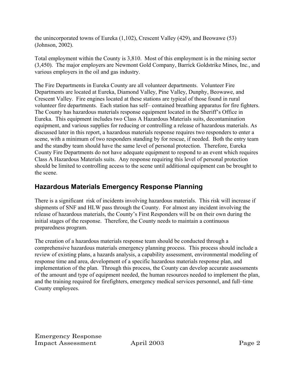the unincorporated towns of Eureka (1,102), Crescent Valley (429), and Beowawe (53) (Johnson, 2002).

Total employment within the County is 3,810. Most of this employment is in the mining sector (3,450). The major employers are Newmont Gold Company, Barrick Goldstrike Mines, Inc., and various employers in the oil and gas industry.

The Fire Departments in Eureka County are all volunteer departments. Volunteer Fire Departments are located at Eureka, Diamond Valley, Pine Valley, Dunphy, Beowawe, and Crescent Valley. Fire engines located at these stations are typical of those found in rural volunteer fire departments. Each station has self– contained breathing apparatus for fire fighters. The County has hazardous materials response equipment located in the Sheriff's Office in Eureka. This equipment includes two Class A Hazardous Materials suits, decontamination equipment, and various supplies for reducing or controlling a release of hazardous materials. As discussed later in this report, a hazardous materials response requires two responders to enter a scene, with a minimum of two responders standing by for rescue, if needed. Both the entry team and the standby team should have the same level of personal protection. Therefore, Eureka County Fire Departments do not have adequate equipment to respond to an event which requires Class A Hazardous Materials suits. Any response requiring this level of personal protection should be limited to controlling access to the scene until additional equipment can be brought to the scene.

## **Hazardous Materials Emergency Response Planning**

There is a significant risk of incidents involving hazardous materials. This risk will increase if shipments of SNF and HLW pass through the County. For almost any incident involving the release of hazardous materials, the County's First Responders will be on their own during the initial stages of the response. Therefore, the County needs to maintain a continuous preparedness program.

The creation of a hazardous materials response team should be conducted through a comprehensive hazardous materials emergency planning process. This process should include a review of existing plans, a hazards analysis, a capability assessment, environmental modeling of response time and area, development of a specific hazardous materials response plan, and implementation of the plan. Through this process, the County can develop accurate assessments of the amount and type of equipment needed, the human resources needed to implement the plan, and the training required for firefighters, emergency medical services personnel, and full–time County employees.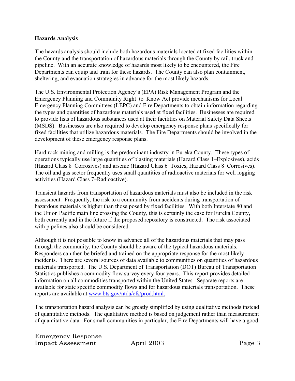#### **Hazards Analysis**

The hazards analysis should include both hazardous materials located at fixed facilities within the County and the transportation of hazardous materials through the County by rail, truck and pipeline. With an accurate knowledge of hazards most likely to be encountered, the Fire Departments can equip and train for these hazards. The County can also plan containment, sheltering, and evacuation strategies in advance for the most likely hazards.

The U.S. Environmental Protection Agency's (EPA) Risk Management Program and the Emergency Planning and Community Right–to–Know Act provide mechanisms for Local Emergency Planning Committees (LEPC) and Fire Departments to obtain information regarding the types and quantities of hazardous materials used at fixed facilities. Businesses are required to provide lists of hazardous substances used at their facilities on Material Safety Data Sheets (MSDS). Businesses are also required to develop emergency response plans specifically for fixed facilities that utilize hazardous materials. The Fire Departments should be involved in the development of these emergency response plans.

Hard rock mining and milling is the predominant industry in Eureka County. These types of operations typically use large quantities of blasting materials (Hazard Class 1–Explosives), acids (Hazard Class 8–Corrosives) and arsenic (Hazard Class 6–Toxics, Hazard Class 8–Corrosives). The oil and gas sector frequently uses small quantities of radioactive materials for well logging activities (Hazard Class 7–Radioactive).

Transient hazards from transportation of hazardous materials must also be included in the risk assessment. Frequently, the risk to a community from accidents during transportation of hazardous materials is higher than those posed by fixed facilities. With both Interstate 80 and the Union Pacific main line crossing the County, this is certainly the case for Eureka County, both currently and in the future if the proposed repository is constructed. The risk associated with pipelines also should be considered.

Although it is not possible to know in advance all of the hazardous materials that may pass through the community, the County should be aware of the typical hazardous materials. Responders can then be briefed and trained on the appropriate response for the most likely incidents. There are several sources of data available to communities on quantities of hazardous materials transported. The U.S. Department of Transportation (DOT) Bureau of Transportation Statistics publishes a commodity flow survey every four years. This report provides detailed information on all commodities transported within the United States. Separate reports are available for state specific commodity flows and for hazardous materials transportation. These reports are available at www.bts.gov/ntda/cfs/prod.html.

The transportation hazard analysis can be greatly simplified by using qualitative methods instead of quantitative methods. The qualitative method is based on judgement rather than measurement of quantitative data. For small communities in particular, the Fire Departments will have a good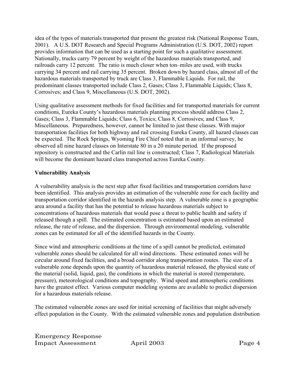idea of the types of materials transported that present the greatest risk (National Response Team, 2001). A U.S. DOT Research and Special Programs Administration (U.S. DOT, 2002) report provides information that can be used as a starting point for such a qualitative assessment. Nationally, trucks carry 79 percent by weight of the hazardous materials transported, and railroads carry 12 percent. The ratio is much closer when ton–miles are used, with trucks carrying 34 percent and rail carrying 35 percent. Broken down by hazard class, almost all of the hazardous materials transported by truck are Class 3, Flammable Liquids. For rail, the predominant classes transported include Class 2, Gases; Class 3, Flammable Liquids; Class 8, Corrosives; and Class 9, Miscellaneous (U.S. DOT, 2002).

Using qualitative assessment methods for fixed facilities and for transported materials for current conditions, Eureka County's hazardous materials planning process should address Class 2, Gases; Class 3, Flammable Liquids; Class 6, Toxics; Class 8, Corrosives; and Class 9, Miscellaneous. Preparedness, however, cannot be limited to just these classes. With major transportation facilities for both highway and rail crossing Eureka County, all hazard classes can be expected. The Rock Springs, Wyoming Fire Chief noted that in an informal survey, he observed all nine hazard classes on Interstate 80 in a 20 minute period. If the proposed repository is constructed and the Carlin rail line is constructed; Class 7, Radiological Materials will become the dominant hazard class transported across Eureka County.

## **Vulnerability Analysis**

A vulnerability analysis is the next step after fixed facilities and transportation corridors have been identified. This analysis provides an estimation of the vulnerable zone for each facility and transportation corridor identified in the hazards analysis step. A vulnerable zone is a geographic area around a facility that has the potential to release hazardous materials subject to concentrations of hazardous materials that would pose a threat to public health and safety if released though a spill. The estimated concentration is estimated based upon an estimated release, the rate of release, and the dispersion. Through environmental modeling, vulnerable zones can be estimated for all of the identified hazards in the County.

Since wind and atmospheric conditions at the time of a spill cannot be predicted, estimated vulnerable zones should be calculated for all wind directions. These estimated zones will be circular around fixed facilities, and a broad corridor along transportation routes. The size of a vulnerable zone depends upon the quantity of hazardous material released, the physical state of the material (solid, liquid, gas), the conditions in which the material is stored (temperature, pressure), meteorological conditions and topography. Wind speed and atmospheric conditions have the greatest effect. Various computer modeling systems are available to predict dispersion for a hazardous materials release.

The estimated vulnerable zones are used for initial screening of facilities that might adversely effect population in the County. With the estimated vulnerable zones and population distribution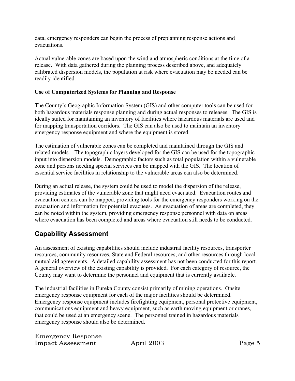data, emergency responders can begin the process of preplanning response actions and evacuations.

Actual vulnerable zones are based upon the wind and atmospheric conditions at the time of a release. With data gathered during the planning process described above, and adequately calibrated dispersion models, the population at risk where evacuation may be needed can be readily identified.

### **Use of Computerized Systems for Planning and Response**

The County's Geographic Information System (GIS) and other computer tools can be used for both hazardous materials response planning and during actual responses to releases. The GIS is ideally suited for maintaining an inventory of facilities where hazardous materials are used and for mapping transportation corridors. The GIS can also be used to maintain an inventory emergency response equipment and where the equipment is stored.

The estimation of vulnerable zones can be completed and maintained through the GIS and related models. The topographic layers developed for the GIS can be used for the topographic input into dispersion models. Demographic factors such as total population within a vulnerable zone and persons needing special services can be mapped with the GIS. The location of essential service facilities in relationship to the vulnerable areas can also be determined.

During an actual release, the system could be used to model the dispersion of the release, providing estimates of the vulnerable zone that might need evacuated. Evacuation routes and evacuation centers can be mapped, providing tools for the emergency responders working on the evacuation and information for potential evacuees. As evacuation of areas are completed, they can be noted within the system, providing emergency response personnel with data on areas where evacuation has been completed and areas where evacuation still needs to be conducted.

## **Capability Assessment**

An assessment of existing capabilities should include industrial facility resources, transporter resources, community resources, State and Federal resources, and other resources through local mutual aid agreements. A detailed capability assessment has not been conducted for this report. A general overview of the existing capability is provided. For each category of resource, the County may want to determine the personnel and equipment that is currently available.

The industrial facilities in Eureka County consist primarily of mining operations. Onsite emergency response equipment for each of the major facilities should be determined. Emergency response equipment includes firefighting equipment, personal protective equipment, communications equipment and heavy equipment, such as earth moving equipment or cranes, that could be used at an emergency scene. The personnel trained in hazardous materials emergency response should also be determined.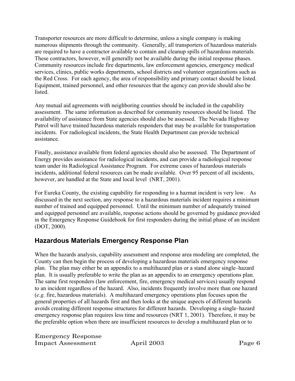Transporter resources are more difficult to determine, unless a single company is making numerous shipments through the community. Generally, all transporters of hazardous materials are required to have a contractor available to contain and cleanup spills of hazardous materials. These contractors, however, will generally not be available during the initial response phases. Community resources include fire departments, law enforcement agencies, emergency medical services, clinics, public works departments, school districts and volunteer organizations such as the Red Cross. For each agency, the area of responsibility and primary contact should be listed. Equipment, trained personnel, and other resources that the agency can provide should also be **listed** 

Any mutual aid agreements with neighboring counties should be included in the capability assessment. The same information as described for community resources should be listed. The availability of assistance from State agencies should also be assessed. The Nevada Highway Patrol will have trained hazardous materials responders that may be available for transportation incidents. For radiological incidents, the State Health Department can provide technical assistance.

Finally, assistance available from federal agencies should also be assessed. The Department of Energy provides assistance for radiological incidents, and can provide a radiological response team under its Radiological Assistance Program. For extreme cases of hazardous materials incidents, additional federal resources can be made available. Over 95 percent of all incidents, however, are handled at the State and local level (NRT, 2001).

For Eureka County, the existing capability for responding to a hazmat incident is very low. As discussed in the next section, any response to a hazardous materials incident requires a minimum number of trained and equipped personnel. Until the minimum number of adequately trained and equipped personnel are available, response actions should be governed by guidance provided in the Emergency Response Guidebook for first responders during the initial phase of an incident (DOT, 2000).

## **Hazardous Materials Emergency Response Plan**

When the hazards analysis, capability assessment and response area modeling are completed, the County can then begin the process of developing a hazardous materials emergency response plan. The plan may either be an appendix to a multihazard plan or a stand alone single–hazard plan. It is usually preferable to write the plan as an appendix to an emergency operations plan. The same first responders (law enforcement, fire, emergency medical services) usually respond to an incident regardless of the hazard. Also, incidents frequently involve more than one hazard (*e.g.* fire, hazardous materials). A multihazard emergency operations plan focuses upon the general properties of all hazards first and then looks at the unique aspects of different hazards avoids creating different response structures for different hazards. Developing a single–hazard emergency response plan requires less time and resources (NRT 1, 2001). Therefore, it may be the preferable option when there are insufficient resources to develop a multihazard plan or to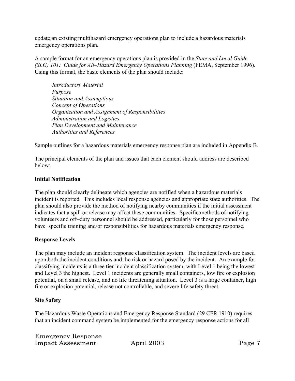update an existing multihazard emergency operations plan to include a hazardous materials emergency operations plan.

A sample format for an emergency operations plan is provided in the *State and Local Guide (SLG) 101: Guide for All–Hazard Emergency Operations Planning* (FEMA, September 1996). Using this format, the basic elements of the plan should include:

*Introductory Material Purpose Situation and Assumptions Concept of Operations Organization and Assignment of Responsibilities Administration and Logistics Plan Development and Maintenance Authorities and References*

Sample outlines for a hazardous materials emergency response plan are included in Appendix B.

The principal elements of the plan and issues that each element should address are described below:

## **Initial Notification**

The plan should clearly delineate which agencies are notified when a hazardous materials incident is reported. This includes local response agencies and appropriate state authorities. The plan should also provide the method of notifying nearby communities if the initial assessment indicates that a spill or release may affect these communities. Specific methods of notifying volunteers and off–duty personnel should be addressed, particularly for those personnel who have specific training and/or responsibilities for hazardous materials emergency response.

## **Response Levels**

The plan may include an incident response classification system. The incident levels are based upon both the incident conditions and the risk or hazard posed by the incident. An example for classifying incidents is a three tier incident classification system, with Level 1 being the lowest and Level 3 the highest. Level 1 incidents are generally small containers, low fire or explosion potential, on a small release, and no life threatening situation. Level 3 is a large container, high fire or explosion potential, release not controllable, and severe life safety threat.

## **Site Safety**

The Hazardous Waste Operations and Emergency Response Standard (29 CFR 1910) requires that an incident command system be implemented for the emergency response actions for all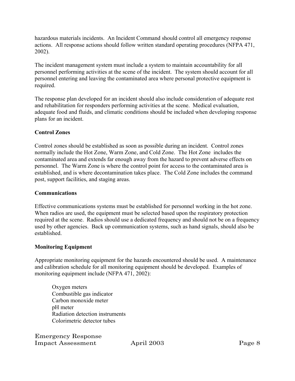hazardous materials incidents. An Incident Command should control all emergency response actions. All response actions should follow written standard operating procedures (NFPA 471, 2002).

The incident management system must include a system to maintain accountability for all personnel performing activities at the scene of the incident. The system should account for all personnel entering and leaving the contaminated area where personal protective equipment is required.

The response plan developed for an incident should also include consideration of adequate rest and rehabilitation for responders performing activities at the scene. Medical evaluation, adequate food and fluids, and climatic conditions should be included when developing response plans for an incident.

## **Control Zones**

Control zones should be established as soon as possible during an incident. Control zones normally include the Hot Zone, Warm Zone, and Cold Zone. The Hot Zone includes the contaminated area and extends far enough away from the hazard to prevent adverse effects on personnel. The Warm Zone is where the control point for access to the contaminated area is established, and is where decontamination takes place. The Cold Zone includes the command post, support facilities, and staging areas.

### **Communications**

Effective communications systems must be established for personnel working in the hot zone. When radios are used, the equipment must be selected based upon the respiratory protection required at the scene. Radios should use a dedicated frequency and should not be on a frequency used by other agencies. Back up communication systems, such as hand signals, should also be established.

### **Monitoring Equipment**

Appropriate monitoring equipment for the hazards encountered should be used. A maintenance and calibration schedule for all monitoring equipment should be developed. Examples of monitoring equipment include (NFPA 471, 2002):

Oxygen meters Combustible gas indicator Carbon monoxide meter pH meter Radiation detection instruments Colorimetric detector tubes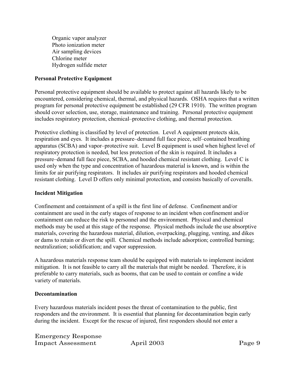Organic vapor analyzer Photo ionization meter Air sampling devices Chlorine meter Hydrogen sulfide meter

#### **Personal Protective Equipment**

Personal protective equipment should be available to protect against all hazards likely to be encountered, considering chemical, thermal, and physical hazards. OSHA requires that a written program for personal protective equipment be established (29 CFR 1910). The written program should cover selection, use, storage, maintenance and training. Personal protective equipment includes respiratory protection, chemical–protective clothing, and thermal protection.

Protective clothing is classified by level of protection. Level A equipment protects skin, respiration and eyes. It includes a pressure–demand full face piece, self–contained breathing apparatus (SCBA) and vapor–protective suit. Level B equipment is used when highest level of respiratory protection is needed, but less protection of the skin is required. It includes a pressure–demand full face piece, SCBA, and hooded chemical resistant clothing. Level C is used only when the type and concentration of hazardous material is known, and is within the limits for air purifying respirators. It includes air purifying respirators and hooded chemical resistant clothing. Level D offers only minimal protection, and consists basically of coveralls.

#### **Incident Mitigation**

Confinement and containment of a spill is the first line of defense. Confinement and/or containment are used in the early stages of response to an incident when confinement and/or containment can reduce the risk to personnel and the environment. Physical and chemical methods may be used at this stage of the response. Physical methods include the use absorptive materials, covering the hazardous material, dilution, overpacking, plugging, venting, and dikes or dams to retain or divert the spill. Chemical methods include adsorption; controlled burning; neutralization; solidification; and vapor suppression.

A hazardous materials response team should be equipped with materials to implement incident mitigation. It is not feasible to carry all the materials that might be needed. Therefore, it is preferable to carry materials, such as booms, that can be used to contain or confine a wide variety of materials.

#### **Decontamination**

Every hazardous materials incident poses the threat of contamination to the public, first responders and the environment. It is essential that planning for decontamination begin early during the incident. Except for the rescue of injured, first responders should not enter a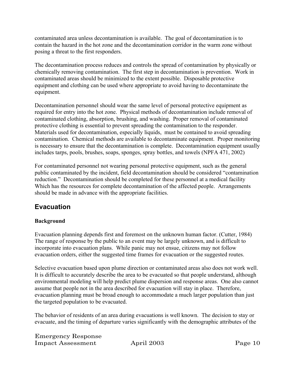contaminated area unless decontamination is available. The goal of decontamination is to contain the hazard in the hot zone and the decontamination corridor in the warm zone without posing a threat to the first responders.

The decontamination process reduces and controls the spread of contamination by physically or chemically removing contamination. The first step in decontamination is prevention. Work in contaminated areas should be minimized to the extent possible. Disposable protective equipment and clothing can be used where appropriate to avoid having to decontaminate the equipment.

Decontamination personnel should wear the same level of personal protective equipment as required for entry into the hot zone. Physical methods of decontamination include removal of contaminated clothing, absorption, brushing, and washing. Proper removal of contaminated protective clothing is essential to prevent spreading the contamination to the responder. Materials used for decontamination, especially liquids, must be contained to avoid spreading contamination. Chemical methods are available to decontaminate equipment. Proper monitoring is necessary to ensure that the decontamination is complete. Decontamination equipment usually includes tarps, pools, brushes, soaps, sponges, spray bottles, and towels (NPFA 471, 2002)

For contaminated personnel not wearing personal protective equipment, such as the general public contaminated by the incident, field decontamination should be considered "contamination reduction." Decontamination should be completed for these personnel at a medical facility Which has the resources for complete decontamination of the affected people. Arrangements should be made in advance with the appropriate facilities.

## **Evacuation**

## **Background**

Evacuation planning depends first and foremost on the unknown human factor. (Cutter, 1984) The range of response by the public to an event may be largely unknown, and is difficult to incorporate into evacuation plans. While panic may not ensue, citizens may not follow evacuation orders, either the suggested time frames for evacuation or the suggested routes.

Selective evacuation based upon plume direction or contaminated areas also does not work well. It is difficult to accurately describe the area to be evacuated so that people understand, although environmental modeling will help predict plume dispersion and response areas. One also cannot assume that people not in the area described for evacuation will stay in place. Therefore, evacuation planning must be broad enough to accommodate a much larger population than just the targeted population to be evacuated.

The behavior of residents of an area during evacuations is well known. The decision to stay or evacuate, and the timing of departure varies significantly with the demographic attributes of the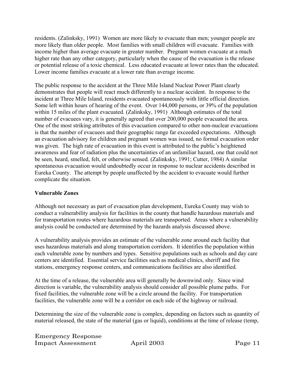residents. (Zalinksky, 1991) Women are more likely to evacuate than men; younger people are more likely than older people. Most families with small children will evacuate. Families with income higher than average evacuate in greater number. Pregnant women evacuate at a much higher rate than any other category, particularly when the cause of the evacuation is the release or potential release of a toxic chemical. Less educated evacuate at lower rates than the educated. Lower income families evacuate at a lower rate than average income.

The public response to the accident at the Three Mile Island Nuclear Power Plant clearly demonstrates that people will react much differently to a nuclear accident. In response to the incident at Three Mile Island, residents evacuated spontaneously with little official direction. Some left within hours of hearing of the event. Over 144,000 persons, or 39% of the population within 15 miles of the plant evacuated. (Zalinksky, 1991) Although estimates of the total number of evacuees vary, it is generally agreed that over 200,000 people evacuated the area. One of the most striking attributes of this evacuation compared to other non-nuclear evacuations is that the number of evacuees and their geographic range far exceeded expectations. Although an evacuation advisory for children and pregnant women was issued, no formal evacuation order was given. The high rate of evacuation in this event is attributed to the public's heightened awareness and fear of radiation plus the uncertainties of an unfamiliar hazard, one that could not be seen, heard, smelled, felt, or otherwise sensed. (Zalinksky, 1991; Cutter, 1984) A similar spontaneous evacuation would undoubtedly occur in response to nuclear accidents described in Eureka County. The attempt by people unaffected by the accident to evacuate would further complicate the situation.

## **Vulnerable Zones**

Although not necessary as part of evacuation plan development, Eureka County may wish to conduct a vulnerability analysis for facilities in the county that handle hazardous materials and for transportation routes where hazardous materials are transported. Areas where a vulnerability analysis could be conducted are determined by the hazards analysis discussed above.

A vulnerability analysis provides an estimate of the vulnerable zone around each facility that uses hazardous materials and along transportation corridors. It identifies the population within each vulnerable zone by numbers and types. Sensitive populations such as schools and day care centers are identified. Essential service facilities such as medical clinics, sheriff and fire stations, emergency response centers, and communications facilities are also identified.

At the time of a release, the vulnerable area will generally be downwind only. Since wind direction is variable, the vulnerability analysis should consider all possible plume paths. For fixed facilities, the vulnerable zone will be a circle around the facility. For transportation facilities, the vulnerable zone will be a corridor on each side of the highway or railroad.

Determining the size of the vulnerable zone is complex, depending on factors such as quantity of material released, the state of the material (gas or liquid), conditions at the time of release (temp,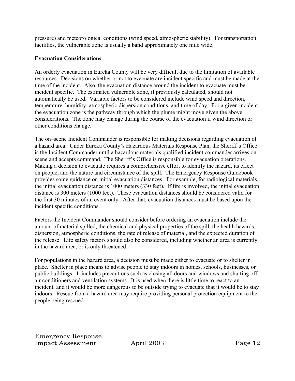pressure) and meteorological conditions (wind speed, atmospheric stability). For transportation facilities, the vulnerable zone is usually a band approximately one mile wide.

## **Evacuation Considerations**

An orderly evacuation in Eureka County will be very difficult due to the limitation of available resources. Decisions on whether or not to evacuate are incident specific and must be made at the time of the incident. Also, the evacuation distance around the incident to evacuate must be incident specific. The estimated vulnerable zone, if previously calculated, should not automatically be used. Variable factors to be considered include wind speed and direction, temperature, humidity, atmospheric dispersion conditions, and time of day. For a given incident, the evacuation zone is the pathway through which the plume might move given the above considerations. The zone may change during the course of the evacuation if wind direction or other conditions change.

The on–scene Incident Commander is responsible for making decisions regarding evacuation of a hazard area. Under Eureka County's Hazardous Materials Response Plan, the Sheriff's Office is the Incident Commander until a hazardous materials qualified incident commander arrives on scene and accepts command. The Sheriff's Office is responsible for evacuation operations. Making a decision to evacuate requires a comprehensive effort to identify the hazard, its effect on people, and the nature and circumstance of the spill. The Emergency Response Guidebook provides some guidance on initial evacuation distances. For example, for radiological materials, the initial evacuation distance is 1000 meters (330 feet). If fire is involved, the initial evacuation distance is 300 meters (1000 feet). These evacuation distances should be considered valid for the first 30 minutes of an event only. After that, evacuation distances must be based upon the incident specific conditions.

Factors the Incident Commander should consider before ordering an evacuation include the amount of material spilled, the chemical and physical properties of the spill, the health hazards, dispersion, atmospheric conditions, the rate of release of material, and the expected duration of the release. Life safety factors should also be considered, including whether an area is currently in the hazard area, or is only threatened.

For populations in the hazard area, a decision must be made either to evacuate or to shelter in place. Shelter in place means to advise people to stay indoors in homes, schools, businesses, or public buildings. It includes precautions such as closing all doors and windows and shutting off air conditioners and ventilation systems. It is used when there is little time to react to an incident, and it would be more dangerous to be outside trying to evacuate that it would be to stay indoors. Rescue from a hazard area may require providing personal protection equipment to the people being rescued.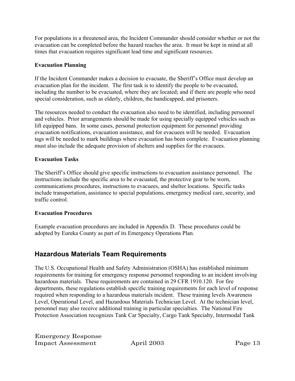For populations in a threatened area, the Incident Commander should consider whether or not the evacuation can be completed before the hazard reaches the area. It must be kept in mind at all times that evacuation requires significant lead time and significant resources.

## **Evacuation Planning**

If the Incident Commander makes a decision to evacuate, the Sheriff's Office must develop an evacuation plan for the incident. The first task is to identify the people to be evacuated, including the number to be evacuated, where they are located; and if there are people who need special consideration, such as elderly, children, the handicapped, and prisoners.

The resources needed to conduct the evacuation also need to be identified, including personnel and vehicles. Prior arrangements should be made for using specially equipped vehicles such as lift equipped bans. In some cases, personal protection equipment for personnel providing evacuation notifications, evacuation assistance, and for evacuees will be needed. Evacuation tags will be needed to mark buildings where evacuation has been complete. Evacuation planning must also include the adequate provision of shelters and supplies for the evacuees.

## **Evacuation Tasks**

The Sheriff's Office should give specific instructions to evacuation assistance personnel. The instructions include the specific area to be evacuated, the protective gear to be worn, communications procedures, instructions to evacuees, and shelter locations. Specific tasks include transportation, assistance to special populations, emergency medical care, security, and traffic control.

### **Evacuation Procedures**

Example evacuation procedures are included in Appendix D. These procedures could be adopted by Eureka County as part of its Emergency Operations Plan.

## **Hazardous Materials Team Requirements**

The U.S. Occupational Health and Safety Administration (OSHA) has established minimum requirements for training for emergency response personnel responding to an incident involving hazardous materials. These requirements are contained in 29 CFR 1910.120. For fire departments, these regulations establish specific training requirements for each level of response required when responding to a hazardous materials incident. These training levels Awareness Level, Operational Level, and Hazardous Materials Technician Level. At the technician level, personnel may also receive additional training in particular specialties. The National Fire Protection Association recognizes Tank Car Specialty, Cargo Tank Specialty, Intermodal Tank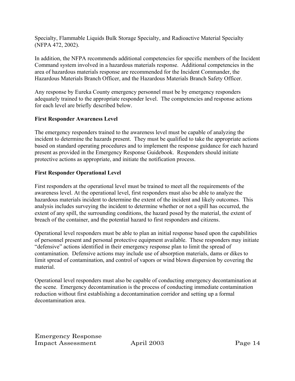Specialty, Flammable Liquids Bulk Storage Specialty, and Radioactive Material Specialty (NFPA 472, 2002).

In addition, the NFPA recommends additional competencies for specific members of the Incident Command system involved in a hazardous materials response. Additional competencies in the area of hazardous materials response are recommended for the Incident Commander, the Hazardous Materials Branch Officer, and the Hazardous Materials Branch Safety Officer.

Any response by Eureka County emergency personnel must be by emergency responders adequately trained to the appropriate responder level. The competencies and response actions for each level are briefly described below.

## **First Responder Awareness Level**

The emergency responders trained to the awareness level must be capable of analyzing the incident to determine the hazards present. They must be qualified to take the appropriate actions based on standard operating procedures and to implement the response guidance for each hazard present as provided in the Emergency Response Guidebook. Responders should initiate protective actions as appropriate, and initiate the notification process.

## **First Responder Operational Level**

First responders at the operational level must be trained to meet all the requirements of the awareness level. At the operational level, first responders must also be able to analyze the hazardous materials incident to determine the extent of the incident and likely outcomes. This analysis includes surveying the incident to determine whether or not a spill has occurred, the extent of any spill, the surrounding conditions, the hazard posed by the material, the extent of breach of the container, and the potential hazard to first responders and citizens.

Operational level responders must be able to plan an initial response based upon the capabilities of personnel present and personal protective equipment available. These responders may initiate "defensive" actions identified in their emergency response plan to limit the spread of contamination. Defensive actions may include use of absorption materials, dams or dikes to limit spread of contamination, and control of vapors or wind blown dispersion by covering the material.

Operational level responders must also be capable of conducting emergency decontamination at the scene. Emergency decontamination is the process of conducting immediate contamination reduction without first establishing a decontamination corridor and setting up a formal decontamination area.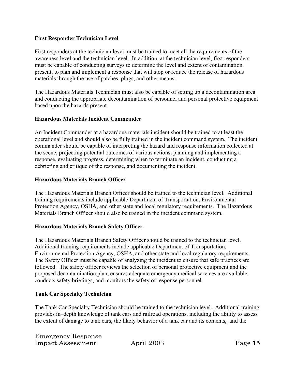### **First Responder Technician Level**

First responders at the technician level must be trained to meet all the requirements of the awareness level and the technician level. In addition, at the technician level, first responders must be capable of conducting surveys to determine the level and extent of contamination present, to plan and implement a response that will stop or reduce the release of hazardous materials through the use of patches, plugs, and other means.

The Hazardous Materials Technician must also be capable of setting up a decontamination area and conducting the appropriate decontamination of personnel and personal protective equipment based upon the hazards present.

## **Hazardous Materials Incident Commander**

An Incident Commander at a hazardous materials incident should be trained to at least the operational level and should also be fully trained in the incident command system. The incident commander should be capable of interpreting the hazard and response information collected at the scene, projecting potential outcomes of various actions, planning and implementing a response, evaluating progress, determining when to terminate an incident, conducting a debriefing and critique of the response, and documenting the incident.

### **Hazardous Materials Branch Officer**

The Hazardous Materials Branch Officer should be trained to the technician level. Additional training requirements include applicable Department of Transportation, Environmental Protection Agency, OSHA, and other state and local regulatory requirements. The Hazardous Materials Branch Officer should also be trained in the incident command system.

## **Hazardous Materials Branch Safety Officer**

The Hazardous Materials Branch Safety Officer should be trained to the technician level. Additional training requirements include applicable Department of Transportation, Environmental Protection Agency, OSHA, and other state and local regulatory requirements. The Safety Officer must be capable of analyzing the incident to ensure that safe practices are followed. The safety officer reviews the selection of personal protective equipment and the proposed decontamination plan, ensures adequate emergency medical services are available, conducts safety briefings, and monitors the safety of response personnel.

## **Tank Car Specialty Technician**

The Tank Car Specialty Technician should be trained to the technician level. Additional training provides in–depth knowledge of tank cars and railroad operations, including the ability to assess the extent of damage to tank cars, the likely behavior of a tank car and its contents, and the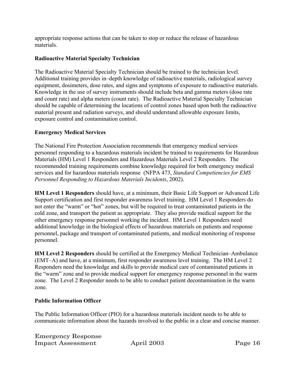appropriate response actions that can be taken to stop or reduce the release of hazardous materials.

## **Radioactive Material Specialty Technician**

The Radioactive Material Specialty Technician should be trained to the technician level. Additional training provides in–depth knowledge of radioactive materials, radiological survey equipment, dosimeters, dose rates, and signs and symptoms of exposure to radioactive materials. Knowledge in the use of survey instruments should include beta and gamma meters (dose rate and count rate) and alpha meters (count rate). The Radioactive Material Specialty Technician should be capable of determining the locations of control zones based upon both the radioactive material present and radiation surveys, and should understand allowable exposure limits, exposure control and contamination control.

## **Emergency Medical Services**

The National Fire Protection Association recommends that emergency medical services personnel responding to a hazardous materials incident be trained to requirements for Hazardous Materials (HM) Level 1 Responders and Hazardous Materials Level 2 Responders. The recommended training requirements combine knowledge required for both emergency medical services and for hazardous materials response (NFPA 473, *Standard Competiencies for EMS Personnel Responding to Hazardous Materials Incidents*, 2002).

**HM Level 1 Responders** should have, at a minimum, their Basic Life Support or Advanced Life Support certification and first responder awareness level training. HM Level 1 Responders do not enter the "warm" or "hot" zones, but will be required to treat contaminated patients in the cold zone, and transport the patient as appropriate. They also provide medical support for the other emergency response personnel working the incident. HM Level 1 Responders need additional knowledge in the biological effects of hazardous materials on patients and response personnel, package and transport of contaminated patients, and medical monitoring of response personnel.

**HM Level 2 Responders** should be certified at the Emergency Medical Technician–Ambulance (EMT–A) and have, at a minimum, first responder awareness level training. The HM Level 2 Responders need the knowledge and skills to provide medical care of contaminated patients in the "warm" zone and to provide medical support for emergency response personnel in the warm zone. The Level 2 Responder needs to be able to conduct patient decontamination in the warm zone.

## **Public Information Officer**

The Public Information Officer (PIO) for a hazardous materials incident needs to be able to communicate information about the hazards involved to the public in a clear and concise manner.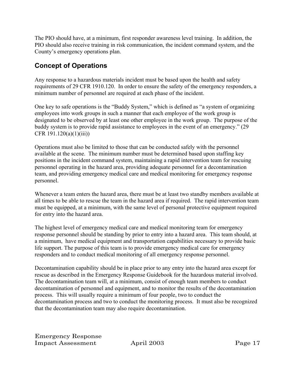The PIO should have, at a minimum, first responder awareness level training. In addition, the PIO should also receive training in risk communication, the incident command system, and the County's emergency operations plan.

## **Concept of Operations**

Any response to a hazardous materials incident must be based upon the health and safety requirements of 29 CFR 1910.120. In order to ensure the safety of the emergency responders, a minimum number of personnel are required at each phase of the incident.

One key to safe operations is the "Buddy System," which is defined as "a system of organizing employees into work groups in such a manner that each employee of the work group is designated to be observed by at least one other employee in the work group. The purpose of the buddy system is to provide rapid assistance to employees in the event of an emergency." (29 CFR 191.120(a)(1)(iii))

Operations must also be limited to those that can be conducted safely with the personnel available at the scene. The minimum number must be determined based upon staffing key positions in the incident command system, maintaining a rapid intervention team for rescuing personnel operating in the hazard area, providing adequate personnel for a decontamination team, and providing emergency medical care and medical monitoring for emergency response personnel.

Whenever a team enters the hazard area, there must be at least two standby members available at all times to be able to rescue the team in the hazard area if required. The rapid intervention team must be equipped, at a minimum, with the same level of personal protective equipment required for entry into the hazard area.

The highest level of emergency medical care and medical monitoring team for emergency response personnel should be standing by prior to entry into a hazard area. This team should, at a minimum, have medical equipment and transportation capabilities necessary to provide basic life support. The purpose of this team is to provide emergency medical care for emergency responders and to conduct medical monitoring of all emergency response personnel.

Decontamination capability should be in place prior to any entry into the hazard area except for rescue as described in the Emergency Response Guidebook for the hazardous material involved. The decontamination team will, at a minimum, consist of enough team members to conduct decontamination of personnel and equipment, and to monitor the results of the decontamination process. This will usually require a minimum of four people, two to conduct the decontamination process and two to conduct the monitoring process. It must also be recognized that the decontamination team may also require decontamination.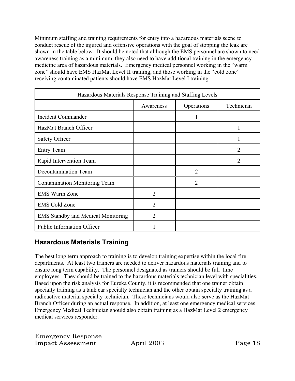Minimum staffing and training requirements for entry into a hazardous materials scene to conduct rescue of the injured and offensive operations with the goal of stopping the leak are shown in the table below. It should be noted that although the EMS personnel are shown to need awareness training as a minimum, they also need to have additional training in the emergency medicine area of hazardous materials. Emergency medical personnel working in the "warm zone" should have EMS HazMat Level II training, and those working in the "cold zone" receiving contaminated patients should have EMS HazMat Level I training.

| Hazardous Materials Response Training and Staffing Levels |                |                |            |
|-----------------------------------------------------------|----------------|----------------|------------|
|                                                           | Awareness      | Operations     | Technician |
| <b>Incident Commander</b>                                 |                | 1              |            |
| HazMat Branch Officer                                     |                |                |            |
| Safety Officer                                            |                |                |            |
| <b>Entry Team</b>                                         |                |                | 2          |
| Rapid Intervention Team                                   |                |                | 2          |
| Decontamination Team                                      |                | $\overline{2}$ |            |
| <b>Contamination Monitoring Team</b>                      |                | $\mathfrak{D}$ |            |
| <b>EMS Warm Zone</b>                                      | $\overline{2}$ |                |            |
| <b>EMS Cold Zone</b>                                      | $\overline{2}$ |                |            |
| <b>EMS Standby and Medical Monitoring</b>                 | $\overline{2}$ |                |            |
| <b>Public Information Officer</b>                         |                |                |            |

## **Hazardous Materials Training**

The best long term approach to training is to develop training expertise within the local fire departments. At least two trainers are needed to deliver hazardous materials training and to ensure long term capability. The personnel designated as trainers should be full–time employees. They should be trained to the hazardous materials technician level with specialities. Based upon the risk analysis for Eureka County, it is recommended that one trainer obtain specialty training as a tank car specialty technician and the other obtain specialty training as a radioactive material specialty technician. These technicians would also serve as the HazMat Branch Officer during an actual response. In addition, at least one emergency medical services Emergency Medical Technician should also obtain training as a HazMat Level 2 emergency medical services responder.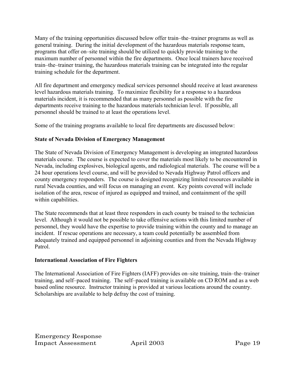Many of the training opportunities discussed below offer train–the–trainer programs as well as general training. During the initial development of the hazardous materials response team, programs that offer on–site training should be utilized to quickly provide training to the maximum number of personnel within the fire departments. Once local trainers have received train–the–trainer training, the hazardous materials training can be integrated into the regular training schedule for the department.

All fire department and emergency medical services personnel should receive at least awareness level hazardous materials training. To maximize flexibility for a response to a hazardous materials incident, it is recommended that as many personnel as possible with the fire departments receive training to the hazardous materials technician level. If possible, all personnel should be trained to at least the operations level.

Some of the training programs available to local fire departments are discussed below:

## **State of Nevada Division of Emergency Management**

The State of Nevada Division of Emergency Management is developing an integrated hazardous materials course. The course is expected to cover the materials most likely to be encountered in Nevada, including explosives, biological agents, and radiological materials. The course will be a 24 hour operations level course, and will be provided to Nevada Highway Patrol officers and county emergency responders. The course is designed recognizing limited resources available in rural Nevada counties, and will focus on managing an event. Key points covered will include isolation of the area, rescue of injured as equipped and trained, and containment of the spill within capabilities.

The State recommends that at least three responders in each county be trained to the technician level. Although it would not be possible to take offensive actions with this limited number of personnel, they would have the expertise to provide training within the county and to manage an incident. If rescue operations are necessary, a team could potentially be assembled from adequately trained and equipped personnel in adjoining counties and from the Nevada Highway Patrol.

## **International Association of Fire Fighters**

The International Association of Fire Fighters (IAFF) provides on–site training, train–the–trainer training, and self–paced training. The self–paced training is available on CD ROM and as a web based online resource. Instructor training is provided at various locations around the country. Scholarships are available to help defray the cost of training.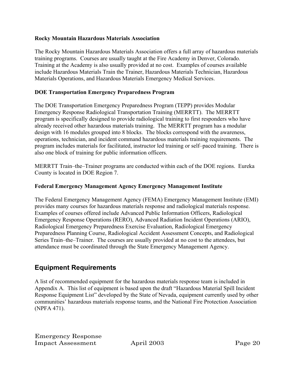### **Rocky Mountain Hazardous Materials Association**

The Rocky Mountain Hazardous Materials Association offers a full array of hazardous materials training programs. Courses are usually taught at the Fire Academy in Denver, Colorado. Training at the Academy is also usually provided at no cost. Examples of courses available include Hazardous Materials Train the Trainer, Hazardous Materials Technician, Hazardous Materials Operations, and Hazardous Materials Emergency Medical Services.

## **DOE Transportation Emergency Preparedness Program**

The DOE Transportation Emergency Preparedness Program (TEPP) provides Modular Emergency Response Radiological Transportation Training (MERRTT). The MERRTT program is specifically designed to provide radiological training to first responders who have already received other hazardous materials training. The MERRTT program has a modular design with 16 modules grouped into 8 blocks. The blocks correspond with the awareness, operations, technician, and incident command hazardous materials training requirements. The program includes materials for facilitated, instructor led training or self–paced training. There is also one block of training for public information officers.

MERRTT Train–the–Trainer programs are conducted within each of the DOE regions. Eureka County is located in DOE Region 7.

## **Federal Emergency Management Agency Emergency Management Institute**

The Federal Emergency Management Agency (FEMA) Emergency Management Institute (EMI) provides many courses for hazardous materials response and radiological materials response. Examples of courses offered include Advanced Public Information Officers, Radiological Emergency Response Operations (RERO), Advanced Radiation Incident Operations (ARIO), Radiological Emergency Preparedness Exercise Evaluation, Radiological Emergency Preparedness Planning Course, Radiological Accident Assessment Concepts, and Radiological Series Train–the–Trainer. The courses are usually provided at no cost to the attendees, but attendance must be coordinated through the State Emergency Management Agency.

## **Equipment Requirements**

A list of recommended equipment for the hazardous materials response team is included in Appendix A. This list of equipment is based upon the draft "Hazardous Material Spill Incident Response Equipment List" developed by the State of Nevada, equipment currently used by other communities' hazardous materials response teams, and the National Fire Protection Association (NPFA 471).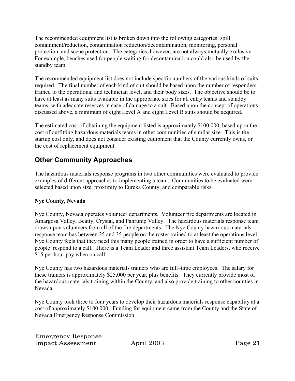The recommended equipment list is broken down into the following categories: spill containment/reduction, contamination reduction/decontamination, monitoring, personal protection, and scene protection. The categories, however, are not always mutually exclusive. For example, benches used for people waiting for decontamination could also be used by the standby team.

The recommended equipment list does not include specific numbers of the various kinds of suits required. The final number of each kind of suit should be based upon the number of responders trained to the operational and technician level, and their body sizes. The objective should be to have at least as many suits available in the appropriate sizes for all entry teams and standby teams, with adequate reserves in case of damage to a suit. Based upon the concept of operations discussed above, a minimum of eight Level A and eight Level B suits should be acquired.

The estimated cost of obtaining the equipment listed is approximately \$100,000, based upon the cost of outfitting hazardous materials teams in other communities of similar size. This is the startup cost only, and does not consider existing equipment that the County currently owns, or the cost of replacement equipment.

## **Other Community Approaches**

The hazardous materials response programs in two other communities were evaluated to provide examples of different approaches to implementing a team. Communities to be evaluated were selected based upon size, proximity to Eureka County, and comparable risks.

## **Nye County, Nevada**

Nye County, Nevada operates volunteer departments. Volunteer fire departments are located in Amargosa Valley, Beatty, Crystal, and Pahrump Valley. The hazardous materials response team draws upon volunteers from all of the fire departments. The Nye County hazardous materials response team has between 25 and 35 people on the roster trained to at least the operations level. Nye County feels that they need this many people trained in order to have a sufficient number of people respond to a call. There is a Team Leader and three assistant Team Leaders, who receive \$15 per hour pay when on call.

Nye County has two hazardous materials trainers who are full–time employees. The salary for these trainers is approximately \$25,000 per year, plus benefits. They currently provide most of the hazardous materials training within the County, and also provide training to other counties in Nevada.

Nye County took three to four years to develop their hazardous materials response capability at a cost of approximately \$100,000. Funding for equipment came from the County and the State of Nevada Emergency Response Commission.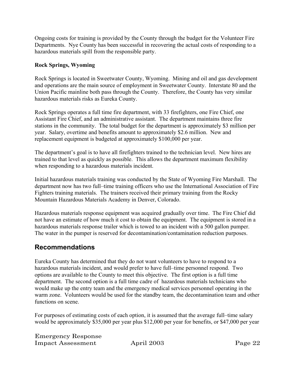Ongoing costs for training is provided by the County through the budget for the Volunteer Fire Departments. Nye County has been successful in recovering the actual costs of responding to a hazardous materials spill from the responsible party.

## **Rock Springs, Wyoming**

Rock Springs is located in Sweetwater County, Wyoming. Mining and oil and gas development and operations are the main source of employment in Sweetwater County. Interstate 80 and the Union Pacific mainline both pass through the County. Therefore, the County has very similar hazardous materials risks as Eureka County.

Rock Springs operates a full time fire department, with 33 firefighters, one Fire Chief, one Assistant Fire Chief, and an administrative assistant. The department maintains three fire stations in the community. The total budget for the department is approximately \$3 million per year. Salary, overtime and benefits amount to approximately \$2.6 million. New and replacement equipment is budgeted at approximately \$100,000 per year.

The department's goal is to have all firefighters trained to the technician level. New hires are trained to that level as quickly as possible. This allows the department maximum flexibility when responding to a hazardous materials incident.

Initial hazardous materials training was conducted by the State of Wyoming Fire Marshall. The department now has two full–time training officers who use the International Association of Fire Fighters training materials. The trainers received their primary training from the Rocky Mountain Hazardous Materials Academy in Denver, Colorado.

Hazardous materials response equipment was acquired gradually over time. The Fire Chief did not have an estimate of how much it cost to obtain the equipment. The equipment is stored in a hazardous materials response trailer which is towed to an incident with a 500 gallon pumper. The water in the pumper is reserved for decontamination/contamination reduction purposes.

## **Recommendations**

Eureka County has determined that they do not want volunteers to have to respond to a hazardous materials incident, and would prefer to have full–time personnel respond. Two options are available to the County to meet this objective. The first option is a full time department. The second option is a full time cadre of hazardous materials technicians who would make up the entry team and the emergency medical services personnel operating in the warm zone. Volunteers would be used for the standby team, the decontamination team and other functions on scene.

For purposes of estimating costs of each option, it is assumed that the average full–time salary would be approximately \$35,000 per year plus \$12,000 per year for benefits, or \$47,000 per year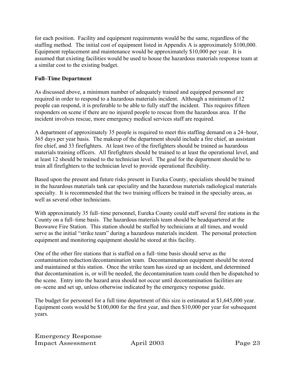for each position. Facility and equipment requirements would be the same, regardless of the staffing method. The initial cost of equipment listed in Appendix A is approximately \$100,000. Equipment replacement and maintenance would be approximately \$10,000 per year. It is assumed that existing facilities would be used to house the hazardous materials response team at a similar cost to the existing budget.

## **Full–Time Department**

As discussed above, a minimum number of adequately trained and equipped personnel are required in order to respond to a hazardous materials incident. Although a minimum of 12 people can respond, it is preferable to be able to fully staff the incident. This requires fifteen responders on scene if there are no injured people to rescue from the hazardous area. If the incident involves rescue, more emergency medical services staff are required.

A department of approximately 35 people is required to meet this staffing demand on a 24–hour, 365 days per year basis. The makeup of the department should include a fire chief, an assistant fire chief, and 33 firefighters. At least two of the firefighters should be trained as hazardous materials training officers. All firefighters should be trained to at least the operational level, and at least 12 should be trained to the technician level. The goal for the department should be to train all firefighters to the technician level to provide operational flexibility.

Based upon the present and future risks present in Eureka County, specialists should be trained in the hazardous materials tank car speciality and the hazardous materials radiological materials specialty. It is recommended that the two training officers be trained in the specialty areas, as well as several other technicians.

With approximately 35 full–time personnel, Eureka County could staff several fire stations in the County on a full–time basis. The hazardous materials team should be headquartered at the Beowawe Fire Station. This station should be staffed by technicians at all times, and would serve as the initial "strike team" during a hazardous materials incident. The personal protection equipment and monitoring equipment should be stored at this facility.

One of the other fire stations that is staffed on a full–time basis should serve as the contamination reduction/decontamination team. Decontamination equipment should be stored and maintained at this station. Once the strike team has sized up an incident, and determined that decontamination is, or will be needed, the decontamination team could then be dispatched to the scene. Entry into the hazard area should not occur until decontamination facilities are on–scene and set up, unless otherwise indicated by the emergency response guide.

The budget for personnel for a full time department of this size is estimated at \$1,645,000 year. Equipment costs would be \$100,000 for the first year, and then \$10,000 per year for subsequent years.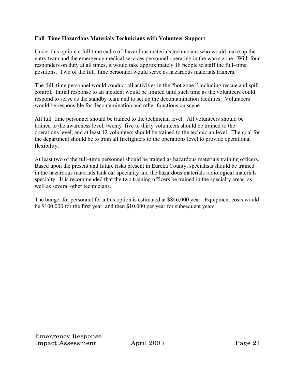### **Full–Time Hazardous Materials Technicians with Volunteer Support**

Under this option, a full time cadre of hazardous materials technicians who would make up the entry team and the emergency medical services personnel operating in the warm zone. With four responders on duty at all times, it would take approximately 18 people to staff the full–time positions. Two of the full–time personnel would serve as hazardous materials trainers.

The full–time personnel would conduct all activities in the "hot zone," including rescue and spill control. Initial response to an incident would be limited until such time as the volunteers could respond to serve as the standby team and to set up the decontamination facilities. Volunteers would be responsible for decontamination and other functions on scene.

All full–time personnel should be trained to the technician level. All volunteers should be trained to the awareness level, twenty–five to thirty volunteers should be trained to the operations level, and at least 12 volunteers should be trained to the technician level. The goal for the department should be to train all firefighters to the operations level to provide operational flexibility.

At least two of the full–time personnel should be trained as hazardous materials training officers. Based upon the present and future risks present in Eureka County, specialists should be trained in the hazardous materials tank car speciality and the hazardous materials radiological materials specialty. It is recommended that the two training officers be trained in the specialty areas, as well as several other technicians.

The budget for personnel for a this option is estimated at \$846,000 year. Equipment costs would be \$100,000 for the first year, and then \$10,000 per year for subsequent years.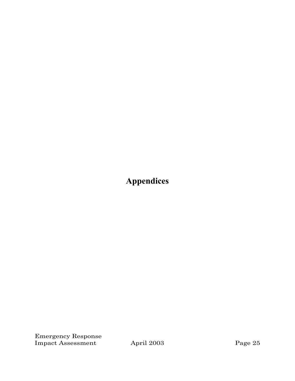**Appendices**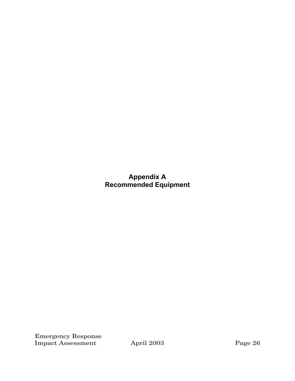## **Appendix A Recommended Equipment**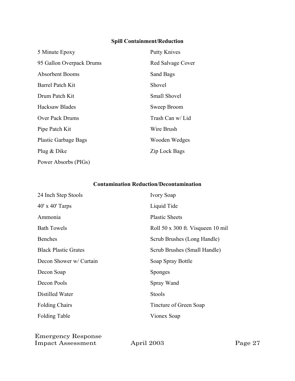## **Spill Containment/Reduction**

| 5 Minute Epoxy              | <b>Putty Knives</b> |
|-----------------------------|---------------------|
| 95 Gallon Overpack Drums    | Red Salvage Cover   |
| Absorbent Booms             | Sand Bags           |
| <b>Barrel Patch Kit</b>     | Shovel              |
| Drum Patch Kit              | <b>Small Shovel</b> |
| <b>Hacksaw Blades</b>       | Sweep Broom         |
| Over Pack Drums             | Trash Can w/ Lid    |
| Pipe Patch Kit              | Wire Brush          |
| <b>Plastic Garbage Bags</b> | Wooden Wedges       |
| Plug & Dike                 | Zip Lock Bags       |
| Power Absorbs (PIGs)        |                     |

## **Contamination Reduction/Decontamination**

| 24 Inch Step Stools         | <b>Ivory Soap</b>                 |
|-----------------------------|-----------------------------------|
| $40'$ x $40'$ Tarps         | Liquid Tide                       |
| Ammonia                     | <b>Plastic Sheets</b>             |
| <b>Bath Towels</b>          | Roll 50 x 300 ft. Visqueen 10 mil |
| <b>Benches</b>              | Scrub Brushes (Long Handle)       |
| <b>Black Plastic Grates</b> | Scrub Brushes (Small Handle)      |
| Decon Shower w/ Curtain     | Soap Spray Bottle                 |
| Decon Soap                  | <b>Sponges</b>                    |
| Decon Pools                 | Spray Wand                        |
| Distilled Water             | Stools                            |
| <b>Folding Chairs</b>       | Tincture of Green Soap            |
| <b>Folding Table</b>        | Vionex Soap                       |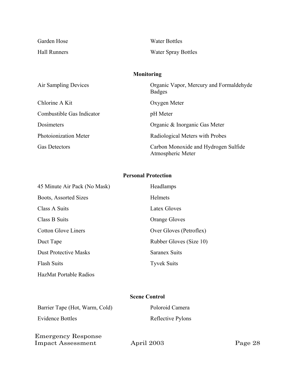| Garden Hose  | Water Bottles              |
|--------------|----------------------------|
| Hall Runners | <b>Water Spray Bottles</b> |

## **Monitoring**

| Air Sampling Devices      | Organic Vapor, Mercury and Formaldehyde<br><b>Badges</b>  |
|---------------------------|-----------------------------------------------------------|
| Chlorine A Kit            | Oxygen Meter                                              |
| Combustible Gas Indicator | pH Meter                                                  |
| Dosimeters                | Organic & Inorganic Gas Meter                             |
| Photoionization Meter     | Radiological Meters with Probes                           |
| <b>Gas Detectors</b>      | Carbon Monoxide and Hydrogen Sulfide<br>Atmospheric Meter |

## **Personal Protection**

| 45 Minute Air Pack (No Mask) | Headlamps               |
|------------------------------|-------------------------|
| Boots, Assorted Sizes        | <b>Helmets</b>          |
| Class A Suits                | Latex Gloves            |
| Class B Suits                | <b>Orange Gloves</b>    |
| <b>Cotton Glove Liners</b>   | Over Gloves (Petroflex) |
| Duct Tape                    | Rubber Gloves (Size 10) |
| <b>Dust Protective Masks</b> | <b>Saranex Suits</b>    |
| <b>Flash Suits</b>           | <b>Tyvek Suits</b>      |
| HazMat Portable Radios       |                         |

### **Scene Control**

| Barrier Tape (Hot, Warm, Cold) | Poloroid Camera   |
|--------------------------------|-------------------|
| Evidence Bottles               | Reflective Pylons |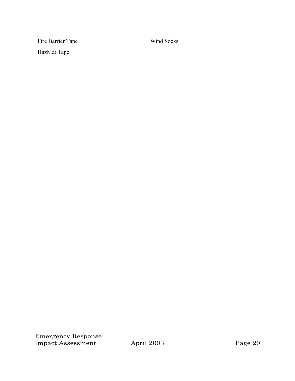Fire Barrier Tape Wind Socks HazMat Tape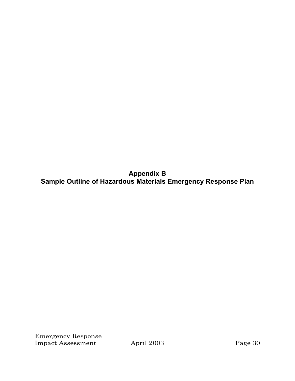**Appendix B Sample Outline of Hazardous Materials Emergency Response Plan**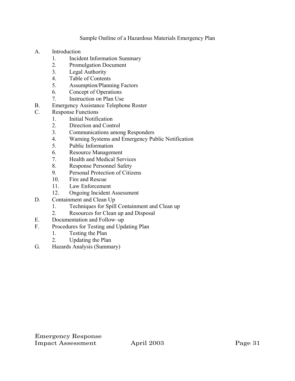## Sample Outline of a Hazardous Materials Emergency Plan

- A. Introduction
	- 1. Incident Information Summary
	- 2. Promulgation Document
	- 3. Legal Authority
	- 4. Table of Contents
	- 5. Assumption/Planning Factors
	- 6. Concept of Operations
	- 7. Instruction on Plan Use
- B. Emergency Assistance Telephone Roster
- C. Response Functions
	- 1. Initial Notification
	- 2. Direction and Control
	- 3. Communications among Responders
	- 4. Warning Systems and Emergency Public Notification
	- 5. Public Information
	- 6. Resource Management
	- 7. Health and Medical Services
	- 8. Response Personnel Safety
	- 9. Personal Protection of Citizens
	- 10. Fire and Rescue
	- 11. Law Enforcement
	- 12. Ongoing Incident Assessment
- D. Containment and Clean Up
	- 1. Techniques for Spill Containment and Clean up
	- 2. Resources for Clean up and Disposal
- E. Documentation and Follow–up
- F. Procedures for Testing and Updating Plan
	- 1. Testing the Plan
	- 2. Updating the Plan
- G. Hazards Analysis (Summary)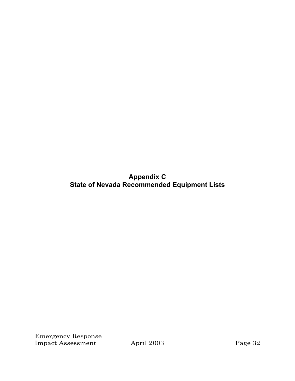**Appendix C State of Nevada Recommended Equipment Lists**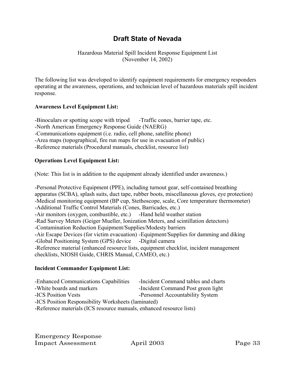## **Draft State of Nevada**

Hazardous Material Spill Incident Response Equipment List (November 14, 2002)

The following list was developed to identify equipment requirements for emergency responders operating at the awareness, operations, and technician level of hazardous materials spill incident response.

## **Awareness Level Equipment List:**

-Binoculars or spotting scope with tripod -Traffic cones, barrier tape, etc. -North American Emergency Response Guide (NAERG) -Communications equipment (i.e. radio, cell phone, satellite phone) -Area maps (topographical, fire run maps for use in evacuation of public) -Reference materials (Procedural manuals, checklist, resource list)

## **Operations Level Equipment List:**

(Note: This list is in addition to the equipment already identified under awareness.)

-Personal Protective Equipment (PPE), including turnout gear, self-contained breathing apparatus (SCBA), splash suits, duct tape, rubber boots, miscellaneous gloves, eye protection) -Medical monitoring equipment (BP cup, Stethoscope, scale, Core temperature thermometer) -Additional Traffic Control Materials (Cones, Barricades, etc.) -Air monitors (oxygen, combustible, etc.) -Hand held weather station -Rad Survey Meters (Geiger Mueller, Ionization Meters, and scintillation detectors) -Contamination Reduction Equipment/Supplies/Modesty barriers -Air Escape Devices (for victim evacuation) -Equipment/Supplies for damming and diking -Global Positioning System (GPS) device -Digital camera -Reference material (enhanced resource lists, equipment checklist, incident management checklists, NIOSH Guide, CHRIS Manual, CAMEO, etc.)

### **Incident Commander Equipment List:**

- -White boards and markers -Incident Command Post green light
- 

-ICS Position Vests -Personnel Accountability System

-ICS Position Responsibility Worksheets (laminated)

-Reference materials (ICS resource manuals, enhanced resource lists)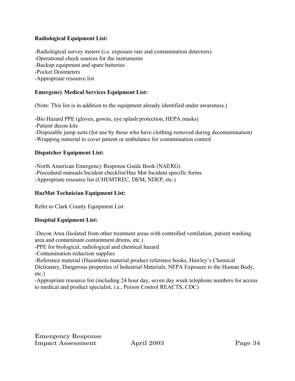## **Radiological Equipment List:**

-Radiological survey meters (i.e. exposure rate and contamination detectors) -Operational check sources for the instruments -Backup equipment and spare batteries -Pocket Dosimeters -Appropriate resource list

## **Emergency Medical Services Equipment List:**

(Note: This list is in addition to the equipment already identified under awareness.)

-Bio Hazard PPE (gloves, gowns, eye splash protection, HEPA masks) -Patient decon kits -Disposable jump suits (for use by those who have clothing removed during decontamination) -Wrapping material to cover patient or ambulance for contamination control

### **Dispatcher Equipment List:**

-North American Emergency Response Guide Book (NAERG) -Procedural manuals/Incident checklist/Haz Mat Incident specific forms -Appropriate resource list (CHEMTREC, DEM, NDEP, etc.)

### **HazMat Technician Equipment List:**

Refer to Clark County Equipment List

### **Hospital Equipment List:**

-Decon Area (Isolated from other treatment areas with controlled ventilation, patient washing area and contaminant containment drums, etc.)

-PPE for biological, radiological and chemical hazard

-Contamination reduction supplies

-Reference material (Hazardous material product reference books, Hawley's Chemical

Dictionary, Dangerous properties of Industrial Materials, NFPA Exposure to the Human Body, etc.)

-Appropriate resource list (including 24 hour day, seven day week telephone numbers for access to medical and product specialist, i.e., Poison Control REACTS, CDC)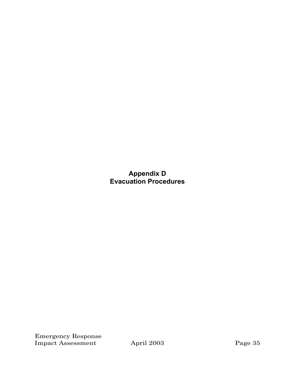**Appendix D Evacuation Procedures**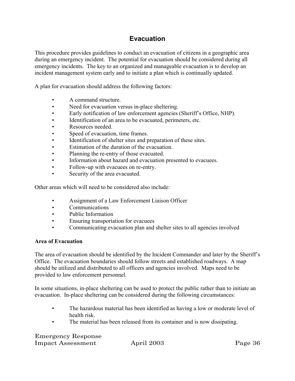## **Evacuation**

This procedure provides guidelines to conduct an evacuation of citizens in a geographic area during an emergency incident. The potential for evacuation should be considered during all emergency incidents. The key to an organized and manageable evacuation is to develop an incident management system early and to initiate a plan which is continually updated.

A plan for evacuation should address the following factors:

- A command structure.
- Need for evacuation versus in-place sheltering.
- Early notification of law enforcement agencies (Sheriff's Office, NHP).
- Identification of an area to be evacuated, perimeters, etc.
- Resources needed.
- Speed of evacuation, time frames.
- Identification of shelter sites and preparation of these sites.
- Estimation of the duration of the evacuation.
- Planning the re-entry of those evacuated.
- Information about hazard and evacuation presented to evacuees.
- Follow-up with evacuees on re-entry.
- Security of the area evacuated.

Other areas which will need to be considered also include:

- Assignment of a Law Enforcement Liaison Officer
- Communications
- Public Information
- Ensuring transportation for evacuees
- Communicating evacuation plan and shelter sites to all agencies involved

#### **Area of Evacuation**

The area of evacuation should be identified by the Incident Commander and later by the Sheriff's Office. The evacuation boundaries should follow streets and established roadways. A map should be utilized and distributed to all officers and agencies involved. Maps need to be provided to law enforcement personnel.

In some situations, in-place sheltering can be used to protect the public rather than to initiate an evacuation. In-place sheltering can be considered during the following circumstances:

- The hazardous material has been identified as having a low or moderate level of health risk.
- The material has been released from its container and is now dissipating.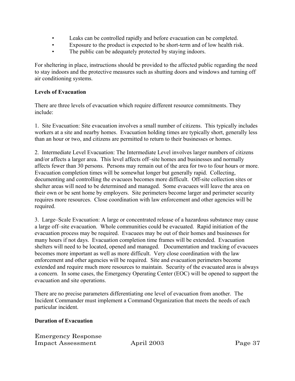- Leaks can be controlled rapidly and before evacuation can be completed.
- Exposure to the product is expected to be short-term and of low health risk.
- The public can be adequately protected by staying indoors.

For sheltering in place, instructions should be provided to the affected public regarding the need to stay indoors and the protective measures such as shutting doors and windows and turning off air conditioning systems.

### **Levels of Evacuation**

There are three levels of evacuation which require different resource commitments. They include:

1. Site Evacuation: Site evacuation involves a small number of citizens. This typically includes workers at a site and nearby homes. Evacuation holding times are typically short, generally less than an hour or two, and citizens are permitted to return to their businesses or homes.

2. Intermediate Level Evacuation: The Intermediate Level involves larger numbers of citizens and/or affects a larger area. This level affects off–site homes and businesses and normally affects fewer than 30 persons. Persons may remain out of the area for two to four hours or more. Evacuation completion times will be somewhat longer but generally rapid. Collecting, documenting and controlling the evacuees becomes more difficult. Off-site collection sites or shelter areas will need to be determined and managed. Some evacuees will leave the area on their own or be sent home by employers. Site perimeters become larger and perimeter security requires more resources. Close coordination with law enforcement and other agencies will be required.

3. Large–Scale Evacuation: A large or concentrated release of a hazardous substance may cause a large off–site evacuation. Whole communities could be evacuated. Rapid initiation of the evacuation process may be required. Evacuees may be out of their homes and businesses for many hours if not days. Evacuation completion time frames will be extended. Evacuation shelters will need to be located, opened and managed. Documentation and tracking of evacuees becomes more important as well as more difficult. Very close coordination with the law enforcement and other agencies will be required. Site and evacuation perimeters become extended and require much more resources to maintain. Security of the evacuated area is always a concern. In some cases, the Emergency Operating Center (EOC) will be opened to support the evacuation and site operations.

There are no precise parameters differentiating one level of evacuation from another. The Incident Commander must implement a Command Organization that meets the needs of each particular incident.

## **Duration of Evacuation**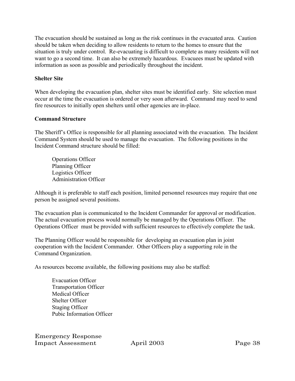The evacuation should be sustained as long as the risk continues in the evacuated area. Caution should be taken when deciding to allow residents to return to the homes to ensure that the situation is truly under control. Re-evacuating is difficult to complete as many residents will not want to go a second time. It can also be extremely hazardous. Evacuees must be updated with information as soon as possible and periodically throughout the incident.

### **Shelter Site**

When developing the evacuation plan, shelter sites must be identified early. Site selection must occur at the time the evacuation is ordered or very soon afterward. Command may need to send fire resources to initially open shelters until other agencies are in-place.

## **Command Structure**

The Sheriff's Office is responsible for all planning associated with the evacuation. The Incident Command System should be used to manage the evacuation. The following positions in the Incident Command structure should be filled:

Operations Officer Planning Officer Logistics Officer Administration Officer

Although it is preferable to staff each position, limited personnel resources may require that one person be assigned several positions.

The evacuation plan is communicated to the Incident Commander for approval or modification. The actual evacuation process would normally be managed by the Operations Officer. The Operations Officer must be provided with sufficient resources to effectively complete the task.

The Planning Officer would be responsible for developing an evacuation plan in joint cooperation with the Incident Commander. Other Officers play a supporting role in the Command Organization.

As resources become available, the following positions may also be staffed:

Evacuation Officer Transportation Officer Medical Officer Shelter Officer Staging Officer Pubic Information Officer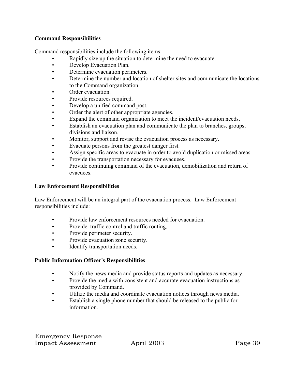## **Command Responsibilities**

Command responsibilities include the following items:

- Rapidly size up the situation to determine the need to evacuate.
- Develop Evacuation Plan.
- Determine evacuation perimeters.
- Determine the number and location of shelter sites and communicate the locations to the Command organization.
- Order evacuation.
- Provide resources required.
- Develop a unified command post.
- Order the alert of other appropriate agencies.
- Expand the command organization to meet the incident/evacuation needs.
- Establish an evacuation plan and communicate the plan to branches, groups, divisions and liaison.
- Monitor, support and revise the evacuation process as necessary.
- Evacuate persons from the greatest danger first.
- Assign specific areas to evacuate in order to avoid duplication or missed areas.
- Provide the transportation necessary for evacuees.
- Provide continuing command of the evacuation, demobilization and return of evacuees.

### **Law Enforcement Responsibilities**

Law Enforcement will be an integral part of the evacuation process. Law Enforcement responsibilities include:

- Provide law enforcement resources needed for evacuation.
- Provide–traffic control and traffic routing.
- Provide perimeter security.
- Provide evacuation zone security.
- Identify transportation needs.

### **Public Information Officer's Responsibilities**

- Notify the news media and provide status reports and updates as necessary.
- Provide the media with consistent and accurate evacuation instructions as provided by Command.
- Utilize the media and coordinate evacuation notices through news media.
- Establish a single phone number that should be released to the public for information.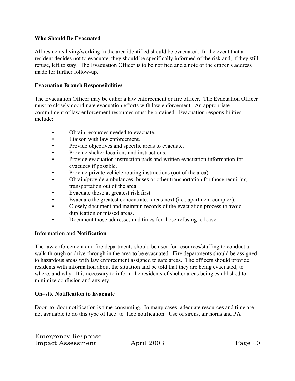#### **Who Should Be Evacuated**

All residents living/working in the area identified should be evacuated. In the event that a resident decides not to evacuate, they should be specifically informed of the risk and, if they still refuse, left to stay. The Evacuation Officer is to be notified and a note of the citizen's address made for further follow-up.

#### **Evacuation Branch Responsibilities**

The Evacuation Officer may be either a law enforcement or fire officer. The Evacuation Officer must to closely coordinate evacuation efforts with law enforcement. An appropriate commitment of law enforcement resources must be obtained. Evacuation responsibilities include:

- Obtain resources needed to evacuate.
- Liaison with law enforcement.
- Provide objectives and specific areas to evacuate.
- Provide shelter locations and instructions.
- Provide evacuation instruction pads and written evacuation information for evacuees if possible.
- Provide private vehicle routing instructions (out of the area).
- Obtain/provide ambulances, buses or other transportation for those requiring transportation out of the area.
- Evacuate those at greatest risk first.
- Evacuate the greatest concentrated areas next (i.e., apartment complex).
- Closely document and maintain records of the evacuation process to avoid duplication or missed areas.
- Document those addresses and times for those refusing to leave.

#### **Information and Notification**

The law enforcement and fire departments should be used for resources/staffing to conduct a walk-through or drive-through in the area to be evacuated. Fire departments should be assigned to hazardous areas with law enforcement assigned to safe areas. The officers should provide residents with information about the situation and be told that they are being evacuated, to where, and why. It is necessary to inform the residents of shelter areas being established to minimize confusion and anxiety.

### **On–site Notification to Evacuate**

Door–to–door notification is time-consuming. In many cases, adequate resources and time are not available to do this type of face–to–face notification. Use of sirens, air horns and PA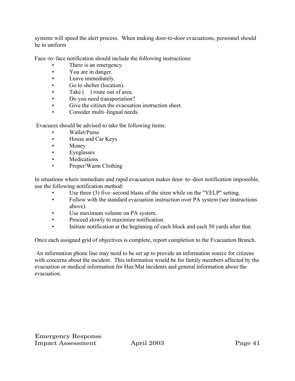systems will speed the alert process. When making door-to-door evacuations, personnel should be in uniform

Face–to–face notification should include the following instructions:

- There is an emergency.
- You are in danger.
- Leave immediately.
- Go to shelter (location).
- Take () route out of area.
- Do you need transportation?
- Give the citizen the evacuation instruction sheet.
- Consider multi-lingual needs.

Evacuees should be advised to take the following items:

- Wallet/Purse
- House and Car Keys
- Money
- Eyeglasses
- Medications
- Proper/Warm Clothing

In situations where immediate and rapid evacuation makes door–to–door notification impossible, use the following notification method:

- Use three (3) five–second blasts of the siren while on the "YELP" setting.
- Follow with the standard evacuation instruction over PA system (see instructions above).
- Use maximum volume on PA system.
- Proceed slowly to maximize notification.
- Initiate notification at the beginning of each block and each 50 yards after that.

Once each assigned grid of objectives is complete, report completion to the Evacuation Branch.

 An information phone line may need to be set up to provide an information source for citizens with concerns about the incident. This information would be for family members affected by the evacuation or medical information for Haz/Mat incidents and general information about the evacuation.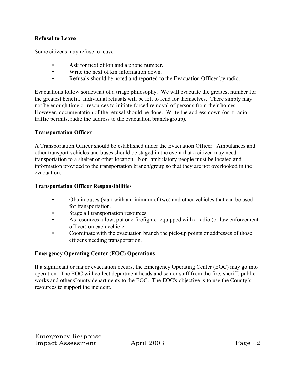### **Refusal to Leave**

Some citizens may refuse to leave.

- Ask for next of kin and a phone number.
- Write the next of kin information down.
- Refusals should be noted and reported to the Evacuation Officer by radio.

Evacuations follow somewhat of a triage philosophy. We will evacuate the greatest number for the greatest benefit. Individual refusals will be left to fend for themselves. There simply may not be enough time or resources to initiate forced removal of persons from their homes. However, documentation of the refusal should be done. Write the address down (or if radio traffic permits, radio the address to the evacuation branch/group).

## **Transportation Officer**

A Transportation Officer should be established under the Evacuation Officer. Ambulances and other transport vehicles and buses should be staged in the event that a citizen may need transportation to a shelter or other location. Non–ambulatory people must be located and information provided to the transportation branch/group so that they are not overlooked in the evacuation.

## **Transportation Officer Responsibilities**

- Obtain buses (start with a minimum of two) and other vehicles that can be used for transportation.
- Stage all transportation resources.
- As resources allow, put one firefighter equipped with a radio (or law enforcement officer) on each vehicle.
- Coordinate with the evacuation branch the pick-up points or addresses of those citizens needing transportation.

## **Emergency Operating Center (EOC) Operations**

If a significant or major evacuation occurs, the Emergency Operating Center (EOC) may go into operation. The EOC will collect department heads and senior staff from the fire, sheriff, public works and other County departments to the EOC. The EOC's objective is to use the County's resources to support the incident.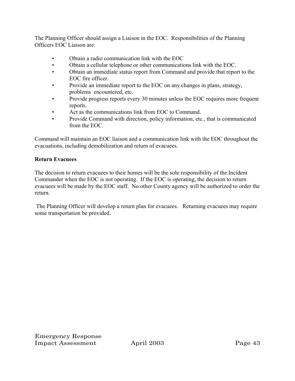The Planning Officer should assign a Liaison in the EOC. Responsibilities of the Planning Officers EOC Liaison are:

- Obtain a radio communication link with the EOC
- Obtain a cellular telephone or other communications link with the EOC.
- Obtain an immediate status report from Command and provide that report to the EOC fire officer.
- Provide an immediate report to the EOC on any changes in plans, strategy, problems encountered, etc.
- Provide progress reports every 30 minutes unless the EOC requires more frequent reports.
- Act as the communications link from EOC to Command.
- Provide Command with direction, policy information, etc., that is communicated from the EOC.

Command will maintain an EOC liaison and a communication link with the EOC throughout the evacuations, including demobilization and return of evacuees.

## **Return Evacuees**

The decision to return evacuees to their homes will be the sole responsibility of the Incident Commander when the EOC is not operating. If the EOC is operating, the decision to return evacuees will be made by the EOC staff. No other County agency will be authorized to order the return.

 The Planning Officer will develop a return plan for evacuees. Returning evacuees may require some transportation be provided.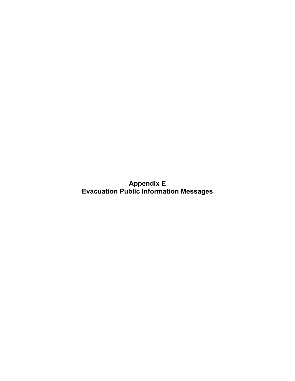**Appendix E Evacuation Public Information Messages**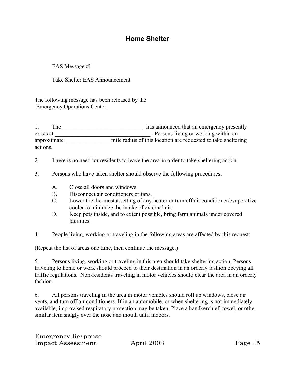## **Home Shelter**

EAS Message #l

Take Shelter EAS Announcement

The following message has been released by the Emergency Operations Center:

1. The \_\_\_\_\_\_\_\_\_\_\_\_\_\_\_\_\_\_\_\_\_\_\_\_\_\_\_\_ has announced that an emergency presently exists at \_\_\_\_\_\_\_\_\_\_\_\_\_\_\_\_\_\_\_\_\_\_\_\_\_\_\_\_\_\_\_\_\_. Persons living or working within an approximate \_\_\_\_\_\_\_\_\_\_\_\_\_\_\_\_\_\_ mile radius of this location are requested to take sheltering actions.

- 2. There is no need for residents to leave the area in order to take sheltering action.
- 3. Persons who have taken shelter should observe the following procedures:
	- A. Close all doors and windows.
	- B. Disconnect air conditioners or fans.
	- C. Lower the thermostat setting of any heater or turn off air conditioner/evaporative cooler to minimize the intake of external air.
	- D. Keep pets inside, and to extent possible, bring farm animals under covered facilities.
- 4. People living, working or traveling in the following areas are affected by this request:

(Repeat the list of areas one time, then continue the message.)

5. Persons living, working or traveling in this area should take sheltering action. Persons traveling to home or work should proceed to their destination in an orderly fashion obeying all traffic regulations. Non-residents traveling in motor vehicles should clear the area in an orderly fashion.

6. All persons traveling in the area in motor vehicles should roll up windows, close air vents, and turn off air conditioners. If in an automobile, or when sheltering is not immediately available, improvised respiratory protection may be taken. Place a handkerchief, towel, or other similar item snugly over the nose and mouth until indoors.

| <b>Emergency Response</b> |  |
|---------------------------|--|
| <b>Impact Assessment</b>  |  |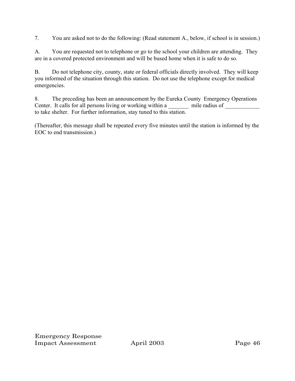7. You are asked not to do the following: (Read statement A., below, if school is in session.)

A. You are requested not to telephone or go to the school your children are attending. They are in a covered protected environment and will be bused home when it is safe to do so.

B. Do not telephone city, county, state or federal officials directly involved. They will keep you informed of the situation through this station. Do not use the telephone except for medical emergencies.

8. The preceding has been an announcement by the Eureka County Emergency Operations Center. It calls for all persons living or working within a \_\_\_\_\_ mile radius of to take shelter. For further information, stay tuned to this station.

(Thereafter, this message shall be repeated every five minutes until the station is informed by the EOC to end transmission.)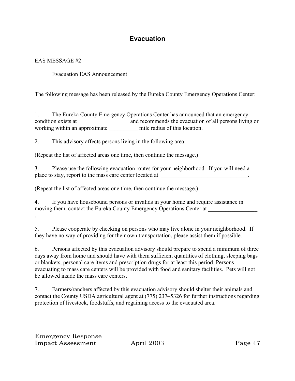## **Evacuation**

## EAS MESSAGE #2

Evacuation EAS Announcement

The following message has been released by the Eureka County Emergency Operations Center:

1. The Eureka County Emergency Operations Center has announced that an emergency condition exists at \_\_\_\_\_\_\_\_\_\_\_\_\_\_\_\_\_\_\_\_\_ and recommends the evacuation of all persons living or working within an approximate \_\_\_\_\_\_\_\_\_\_\_\_\_\_\_ mile radius of this location.

2. This advisory affects persons living in the following area:

(Repeat the list of affected areas one time, then continue the message.)

3. Please use the following evacuation routes for your neighborhood. If you will need a place to stay, report to the mass care center located at \_\_\_\_\_\_\_\_\_\_\_\_\_\_\_\_\_\_\_\_\_\_\_\_\_\_\_\_\_\_\_.

(Repeat the list of affected areas one time, then continue the message.)

4. If you have housebound persons or invalids in your home and require assistance in moving them, contact the Eureka County Emergency Operations Center at . .

5. Please cooperate by checking on persons who may live alone in your neighborhood. If they have no way of providing for their own transportation, please assist them if possible.

6. Persons affected by this evacuation advisory should prepare to spend a minimum of three days away from home and should have with them sufficient quantities of clothing, sleeping bags or blankets, personal care items and prescription drugs for at least this period. Persons evacuating to mass care centers will be provided with food and sanitary facilities. Pets will not be allowed inside the mass care centers.

7. Farmers/ranchers affected by this evacuation advisory should shelter their animals and contact the County USDA agricultural agent at (775) 237–5326 for further instructions regarding protection of livestock, foodstuffs, and regaining access to the evacuated area.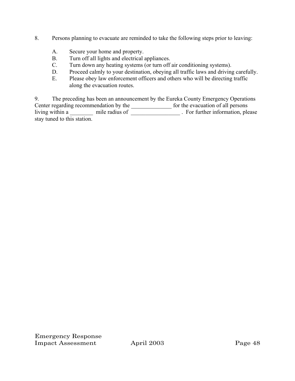- 8. Persons planning to evacuate are reminded to take the following steps prior to leaving:
	- A. Secure your home and property.
	- B. Turn off all lights and electrical appliances.
	- C. Turn down any heating systems (or turn off air conditioning systems).
	- D. Proceed calmly to your destination, obeying all traffic laws and driving carefully.
	- E. Please obey law enforcement officers and others who will be directing traffic along the evacuation routes.

9. The preceding has been an announcement by the Eureka County Emergency Operations Center regarding recommendation by the series of the evacuation of all persons living within a \_\_\_\_\_\_\_\_ mile radius of \_\_\_\_\_\_\_\_\_\_\_\_\_\_\_\_\_\_\_\_. For further information, please stay tuned to this station.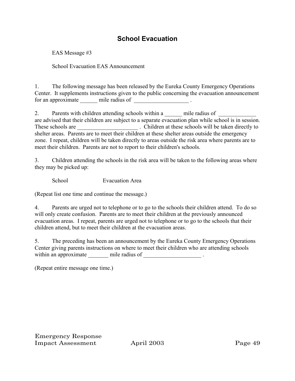## **School Evacuation**

EAS Message #3

School Evacuation EAS Announcement

1. The following message has been released by the Eureka County Emergency Operations Center. It supplements instructions given to the public concerning the evacuation announcement for an approximate \_\_\_\_\_\_ mile radius of \_\_\_\_\_\_\_\_\_\_\_\_\_\_\_\_\_\_\_ .

2. Parents with children attending schools within a \_\_\_\_\_ mile radius of are advised that their children are subject to a separate evacuation plan while school is in session. These schools are **These** schools are . Children at these schools will be taken directly to shelter areas. Parents are to meet their children at these shelter areas outside the emergency zone. I repeat, children will be taken directly to areas outside the risk area where parents are to meet their children. Parents are not to report to their children's schools.

3. Children attending the schools in the risk area will be taken to the following areas where they may be picked up:

School Evacuation Area

(Repeat list one time and continue the message.)

4. Parents are urged not to telephone or to go to the schools their children attend. To do so will only create confusion. Parents are to meet their children at the previously announced evacuation areas. I repeat, parents are urged not to telephone or to go to the schools that their children attend, but to meet their children at the evacuation areas.

5. The preceding has been an announcement by the Eureka County Emergency Operations Center giving parents instructions on where to meet their children who are attending schools within an approximate  $\qquad \qquad \_$  mile radius of  $\_$ 

(Repeat entire message one time.)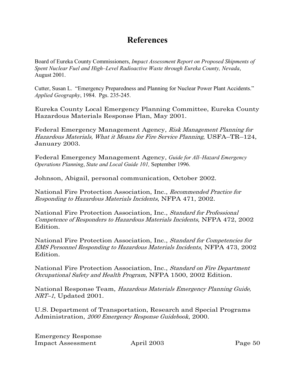# **References**

Board of Eureka County Commissioners, *Impact Assessment Report on Proposed Shipments of Spent Nuclear Fuel and High–Level Radioactive Waste through Eureka County, Nevada*, August 2001.

Cutter, Susan L. "Emergency Preparedness and Planning for Nuclear Power Plant Accidents." *Applied Geography*, 1984. Pgs. 235-245.

Eureka County Local Emergency Planning Committee, Eureka County Hazardous Materials Response Plan, May 2001.

Federal Emergency Management Agency, Risk Management Planning for Hazardous Materials, What it Means for Fire Service Planning, USFA–TR–124, January 2003.

Federal Emergency Management Agency, *Guide for All–Hazard Emergency Operations Planning*, *State and Local Guide 101,* September 1996.

Johnson, Abigail, personal communication, October 2002.

National Fire Protection Association, Inc., Recommended Practice for Responding to Hazardous Materials Incidents, NFPA 471, 2002.

National Fire Protection Association, Inc., Standard for Professional Competence of Responders to Hazardous Materials Incidents, NFPA 472, 2002 Edition.

National Fire Protection Association, Inc., Standard for Competencies for EMS Personnel Responding to Hazardous Materials Incidents, NFPA 473, 2002 **Edition** 

National Fire Protection Association, Inc., Standard on Fire Department Occupational Safety and Health Program, NFPA 1500, 2002 Edition.

National Response Team, Hazardous Materials Emergency Planning Guide, NRT–1, Updated 2001.

U.S. Department of Transportation, Research and Special Programs Administration, 2000 Emergency Response Guidebook, 2000.